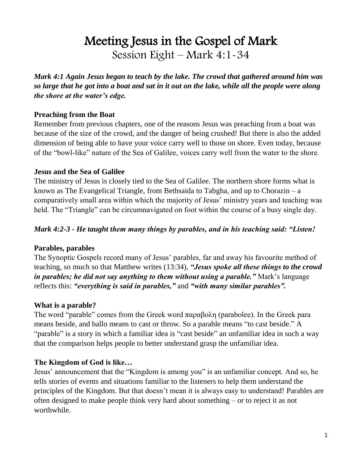# Meeting Jesus in the Gospel of Mark Session Eight – Mark 4:1-34

*Mark 4:1 Again Jesus began to teach by the lake. The crowd that gathered around him was so large that he got into a boat and sat in it out on the lake, while all the people were along the shore at the water's edge.* 

#### **Preaching from the Boat**

Remember from previous chapters, one of the reasons Jesus was preaching from a boat was because of the size of the crowd, and the danger of being crushed! But there is also the added dimension of being able to have your voice carry well to those on shore. Even today, because of the "bowl-like" nature of the Sea of Galilee, voices carry well from the water to the shore.

#### **Jesus and the Sea of Galilee**

The ministry of Jesus is closely tied to the Sea of Galilee. The northern shore forms what is known as The Evangelical Triangle, from Bethsaida to Tabgha, and up to Chorazin – a comparatively small area within which the majority of Jesus' ministry years and teaching was held. The "Triangle" can be circumnavigated on foot within the course of a busy single day.

#### *Mark 4:2-3 - He taught them many things by parables, and in his teaching said: "Listen!*

#### **Parables, parables**

The Synoptic Gospels record many of Jesus' parables, far and away his favourite method of teaching, so much so that Matthew writes (13:34), *"Jesus spoke all these things to the crowd in parables; he did not say anything to them without using a parable."* Mark's language reflects this: *"everything is said in parables,"* and *"with many similar parables".*

# **What is a parable?**

The word "parable" comes from the Greek word παραβολη (parabolee). In the Greek para means beside, and ballo means to cast or throw. So a parable means "to cast beside." A "parable" is a story in which a familiar idea is "cast beside" an unfamiliar idea in such a way that the comparison helps people to better understand grasp the unfamiliar idea.

# **The Kingdom of God is like…**

Jesus' announcement that the "Kingdom is among you" is an unfamiliar concept. And so, he tells stories of events and situations familiar to the listeners to help them understand the principles of the Kingdom. But that doesn't mean it is always easy to understand! Parables are often designed to make people think very hard about something – or to reject it as not worthwhile.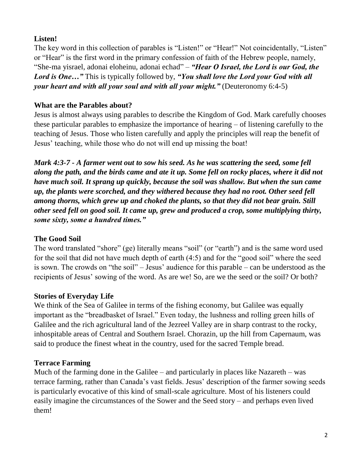# **Listen!**

The key word in this collection of parables is "Listen!" or "Hear!" Not coincidentally, "Listen" or "Hear" is the first word in the primary confession of faith of the Hebrew people, namely, "She-ma yisrael, adonai eloheinu, adonai echad" – *"Hear O Israel, the Lord is our God, the Lord is One…"* This is typically followed by, *"You shall love the Lord your God with all your heart and with all your soul and with all your might."* (Deuteronomy 6:4-5)

# **What are the Parables about?**

Jesus is almost always using parables to describe the Kingdom of God. Mark carefully chooses these particular parables to emphasize the importance of hearing – of listening carefully to the teaching of Jesus. Those who listen carefully and apply the principles will reap the benefit of Jesus' teaching, while those who do not will end up missing the boat!

*Mark 4:3-7 - A farmer went out to sow his seed. As he was scattering the seed, some fell along the path, and the birds came and ate it up. Some fell on rocky places, where it did not have much soil. It sprang up quickly, because the soil was shallow. But when the sun came up, the plants were scorched, and they withered because they had no root. Other seed fell among thorns, which grew up and choked the plants, so that they did not bear grain. Still other seed fell on good soil. It came up, grew and produced a crop, some multiplying thirty, some sixty, some a hundred times."*

# **The Good Soil**

The word translated "shore" (ge) literally means "soil" (or "earth") and is the same word used for the soil that did not have much depth of earth (4:5) and for the "good soil" where the seed is sown. The crowds on "the soil" – Jesus' audience for this parable – can be understood as the recipients of Jesus' sowing of the word. As are we! So, are we the seed or the soil? Or both?

# **Stories of Everyday Life**

We think of the Sea of Galilee in terms of the fishing economy, but Galilee was equally important as the "breadbasket of Israel." Even today, the lushness and rolling green hills of Galilee and the rich agricultural land of the Jezreel Valley are in sharp contrast to the rocky, inhospitable areas of Central and Southern Israel. Chorazin, up the hill from Capernaum, was said to produce the finest wheat in the country, used for the sacred Temple bread.

# **Terrace Farming**

Much of the farming done in the Galilee – and particularly in places like Nazareth – was terrace farming, rather than Canada's vast fields. Jesus' description of the farmer sowing seeds is particularly evocative of this kind of small-scale agriculture. Most of his listeners could easily imagine the circumstances of the Sower and the Seed story – and perhaps even lived them!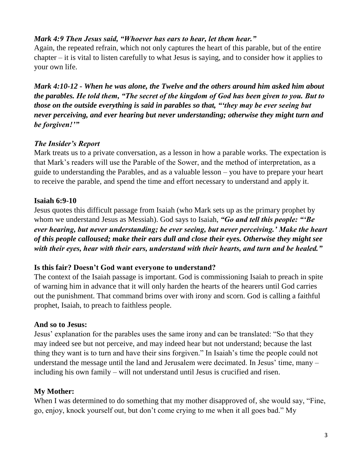# *Mark 4:9 Then Jesus said, "Whoever has ears to hear, let them hear."*

Again, the repeated refrain, which not only captures the heart of this parable, but of the entire chapter – it is vital to listen carefully to what Jesus is saying, and to consider how it applies to your own life.

*Mark 4:10-12 - When he was alone, the Twelve and the others around him asked him about the parables. He told them, "The secret of the kingdom of God has been given to you. But to those on the outside everything is said in parables so that, "'they may be ever seeing but never perceiving, and ever hearing but never understanding; otherwise they might turn and be forgiven!'"*

# *The Insider's Report*

Mark treats us to a private conversation, as a lesson in how a parable works. The expectation is that Mark's readers will use the Parable of the Sower, and the method of interpretation, as a guide to understanding the Parables, and as a valuable lesson – you have to prepare your heart to receive the parable, and spend the time and effort necessary to understand and apply it.

# **Isaiah 6:9-10**

Jesus quotes this difficult passage from Isaiah (who Mark sets up as the primary prophet by whom we understand Jesus as Messiah). God says to Isaiah, *"Go and tell this people: "'Be ever hearing, but never understanding; be ever seeing, but never perceiving.' Make the heart of this people calloused; make their ears dull and close their eyes. Otherwise they might see with their eyes, hear with their ears, understand with their hearts, and turn and be healed."*

# **Is this fair? Doesn't God want everyone to understand?**

The context of the Isaiah passage is important. God is commissioning Isaiah to preach in spite of warning him in advance that it will only harden the hearts of the hearers until God carries out the punishment. That command brims over with irony and scorn. God is calling a faithful prophet, Isaiah, to preach to faithless people.

# **And so to Jesus:**

Jesus' explanation for the parables uses the same irony and can be translated: "So that they may indeed see but not perceive, and may indeed hear but not understand; because the last thing they want is to turn and have their sins forgiven." In Isaiah's time the people could not understand the message until the land and Jerusalem were decimated. In Jesus' time, many – including his own family – will not understand until Jesus is crucified and risen.

# **My Mother:**

When I was determined to do something that my mother disapproved of, she would say, "Fine, go, enjoy, knock yourself out, but don't come crying to me when it all goes bad." My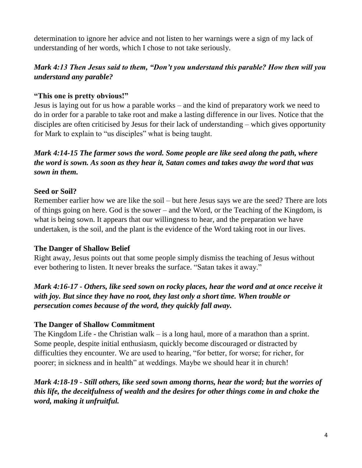determination to ignore her advice and not listen to her warnings were a sign of my lack of understanding of her words, which I chose to not take seriously.

# *Mark 4:13 Then Jesus said to them, "Don't you understand this parable? How then will you understand any parable?*

#### **"This one is pretty obvious!"**

Jesus is laying out for us how a parable works – and the kind of preparatory work we need to do in order for a parable to take root and make a lasting difference in our lives. Notice that the disciples are often criticised by Jesus for their lack of understanding – which gives opportunity for Mark to explain to "us disciples" what is being taught.

# *Mark 4:14-15 The farmer sows the word. Some people are like seed along the path, where the word is sown. As soon as they hear it, Satan comes and takes away the word that was sown in them.*

#### **Seed or Soil?**

Remember earlier how we are like the soil – but here Jesus says we are the seed? There are lots of things going on here. God is the sower – and the Word, or the Teaching of the Kingdom, is what is being sown. It appears that our willingness to hear, and the preparation we have undertaken, is the soil, and the plant is the evidence of the Word taking root in our lives.

#### **The Danger of Shallow Belief**

Right away, Jesus points out that some people simply dismiss the teaching of Jesus without ever bothering to listen. It never breaks the surface. "Satan takes it away."

# *Mark 4:16-17 - Others, like seed sown on rocky places, hear the word and at once receive it with joy. But since they have no root, they last only a short time. When trouble or persecution comes because of the word, they quickly fall away.*

# **The Danger of Shallow Commitment**

The Kingdom Life - the Christian walk  $-$  is a long haul, more of a marathon than a sprint. Some people, despite initial enthusiasm, quickly become discouraged or distracted by difficulties they encounter. We are used to hearing, "for better, for worse; for richer, for poorer; in sickness and in health" at weddings. Maybe we should hear it in church!

# *Mark 4:18-19 - Still others, like seed sown among thorns, hear the word; but the worries of this life, the deceitfulness of wealth and the desires for other things come in and choke the word, making it unfruitful.*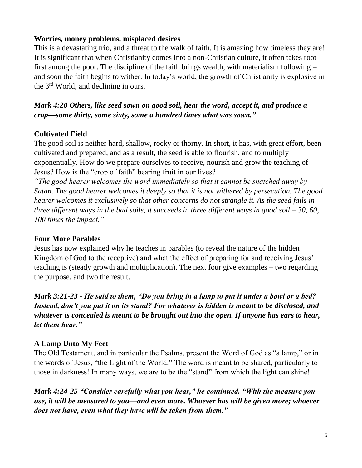#### **Worries, money problems, misplaced desires**

This is a devastating trio, and a threat to the walk of faith. It is amazing how timeless they are! It is significant that when Christianity comes into a non-Christian culture, it often takes root first among the poor. The discipline of the faith brings wealth, with materialism following – and soon the faith begins to wither. In today's world, the growth of Christianity is explosive in the 3rd World, and declining in ours.

*Mark 4:20 Others, like seed sown on good soil, hear the word, accept it, and produce a crop—some thirty, some sixty, some a hundred times what was sown."*

# **Cultivated Field**

The good soil is neither hard, shallow, rocky or thorny. In short, it has, with great effort, been cultivated and prepared, and as a result, the seed is able to flourish, and to multiply exponentially. How do we prepare ourselves to receive, nourish and grow the teaching of Jesus? How is the "crop of faith" bearing fruit in our lives?

*"The good hearer welcomes the word immediately so that it cannot be snatched away by Satan. The good hearer welcomes it deeply so that it is not withered by persecution. The good hearer welcomes it exclusively so that other concerns do not strangle it. As the seed fails in three different ways in the bad soils, it succeeds in three different ways in good soil – 30, 60, 100 times the impact."*

# **Four More Parables**

Jesus has now explained why he teaches in parables (to reveal the nature of the hidden Kingdom of God to the receptive) and what the effect of preparing for and receiving Jesus' teaching is (steady growth and multiplication). The next four give examples – two regarding the purpose, and two the result.

*Mark 3:21-23 - He said to them, "Do you bring in a lamp to put it under a bowl or a bed? Instead, don't you put it on its stand? For whatever is hidden is meant to be disclosed, and whatever is concealed is meant to be brought out into the open. If anyone has ears to hear, let them hear."*

# **A Lamp Unto My Feet**

The Old Testament, and in particular the Psalms, present the Word of God as "a lamp," or in the words of Jesus, "the Light of the World." The word is meant to be shared, particularly to those in darkness! In many ways, we are to be the "stand" from which the light can shine!

*Mark 4:24-25 "Consider carefully what you hear," he continued. "With the measure you use, it will be measured to you—and even more. Whoever has will be given more; whoever does not have, even what they have will be taken from them."*